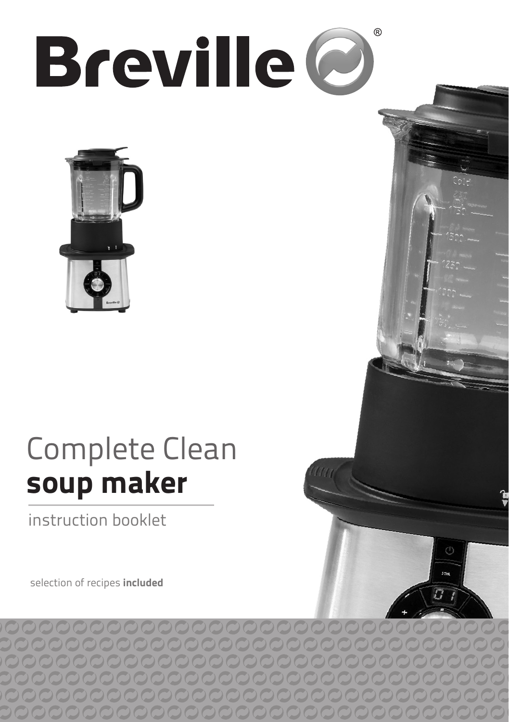# $( R )$ **Breville**



# Complete Clean soup maker

stir

instruction booklet

selection of recipes included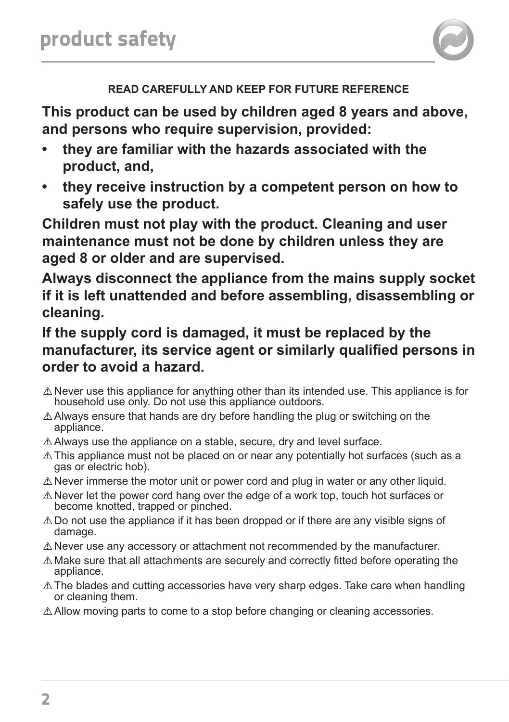

## **READ CAREFULLY AND KEEP FOR FUTURE REFERENCE**

**This product can be used by children aged 8 years and above, and persons who require supervision, provided:**

- **• they are familiar with the hazards associated with the product, and,**
- they receive instruction by a competent person on how to **safely use the product.**

**Children must not play with the product. Cleaning and user maintenance must not be done by children unless they are aged 8 or older and are supervised.**

**Always disconnect the appliance from the mains supply socket if it is left unattended and before assembling, disassembling or cleaning.**

## **If the supply cord is damaged, it must be replaced by the manufacturer, its service agent or similarly qualified persons in order to avoid a hazard.**

- $\triangle$  Never use this appliance for anything other than its intended use. This appliance is for household use only. Do not use this appliance outdoors.
- $\triangle$  Always ensure that hands are dry before handling the plug or switching on the appliance.
- $\triangle$  Always use the appliance on a stable, secure, dry and level surface.
- $\triangle$  This appliance must not be placed on or near any potentially hot surfaces (such as a gas or electric hob).
- $\triangle$  Never immerse the motor unit or power cord and plug in water or any other liquid.
- $\triangle$  Never let the power cord hang over the edge of a work top, touch hot surfaces or become knotted, trapped or pinched.
- $\triangle$  Do not use the appliance if it has been dropped or if there are any visible signs of damage.
- $\triangle$  Never use any accessory or attachment not recommended by the manufacturer.
- $\triangle$  Make sure that all attachments are securely and correctly fitted before operating the appliance.
- $\triangle$  The blades and cutting accessories have very sharp edges. Take care when handling or cleaning them.
- $\triangle$  Allow moving parts to come to a stop before changing or cleaning accessories.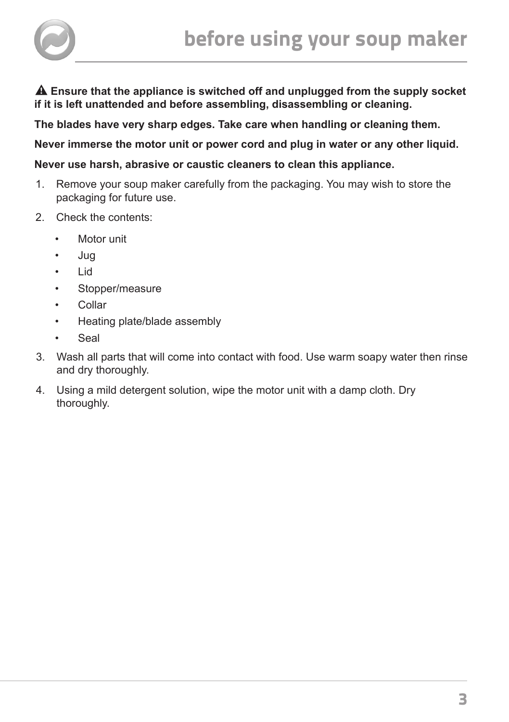

 **Ensure that the appliance is switched off and unplugged from the supply socket if it is left unattended and before assembling, disassembling or cleaning.**

**The blades have very sharp edges. Take care when handling or cleaning them.**

**Never immerse the motor unit or power cord and plug in water or any other liquid.**

**Never use harsh, abrasive or caustic cleaners to clean this appliance.**

- 1. Remove your soup maker carefully from the packaging. You may wish to store the packaging for future use.
- 2. Check the contents:
	- Motor unit
	- Jug
	- Lid
	- Stopper/measure
	- Collar
	- Heating plate/blade assembly
	- Seal
- 3. Wash all parts that will come into contact with food. Use warm soapy water then rinse and dry thoroughly.
- 4. Using a mild detergent solution, wipe the motor unit with a damp cloth. Dry thoroughly.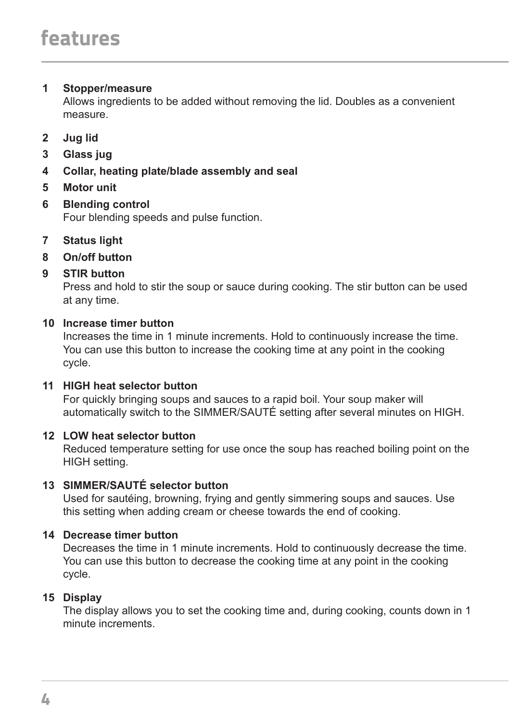#### **1 Stopper/measure**

Allows ingredients to be added without removing the lid. Doubles as a convenient measure.

- **2 Jug lid**
- **3 Glass jug**
- **4 Collar, heating plate/blade assembly and seal**
- **5 Motor unit**
- **6 Blending control** Four blending speeds and pulse function.
- **7 Status light**
- **8 On/off button**
- **9 STIR button**

Press and hold to stir the soup or sauce during cooking. The stir button can be used at any time.

#### **10 Increase timer button**

Increases the time in 1 minute increments. Hold to continuously increase the time. You can use this button to increase the cooking time at any point in the cooking cycle.

#### **11 HIGH heat selector button**

For quickly bringing soups and sauces to a rapid boil. Your soup maker will automatically switch to the SIMMER/SAUTÉ setting after several minutes on HIGH.

## **12 LOW heat selector button**

Reduced temperature setting for use once the soup has reached boiling point on the HIGH setting.

## **13 SIMMER/SAUTÉ selector button**

Used for sautéing, browning, frying and gently simmering soups and sauces. Use this setting when adding cream or cheese towards the end of cooking.

## **14 Decrease timer button**

Decreases the time in 1 minute increments. Hold to continuously decrease the time. You can use this button to decrease the cooking time at any point in the cooking cycle.

## **15 Display**

The display allows you to set the cooking time and, during cooking, counts down in 1 minute increments.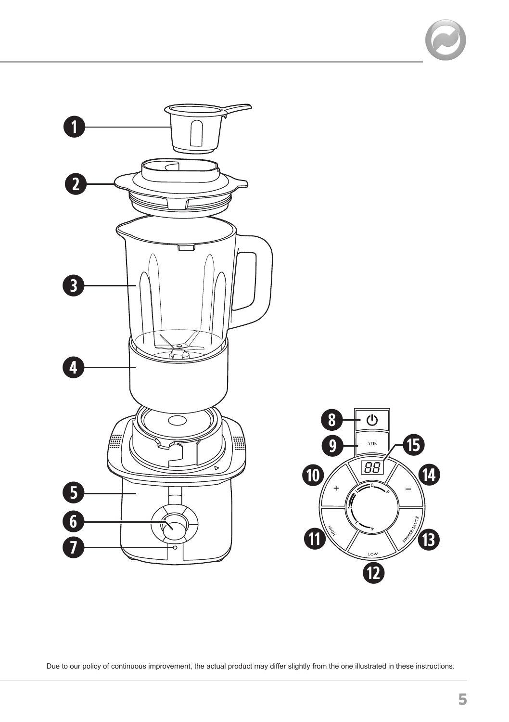

Due to our policy of continuous improvement, the actual product may differ slightly from the one illustrated in these instructions.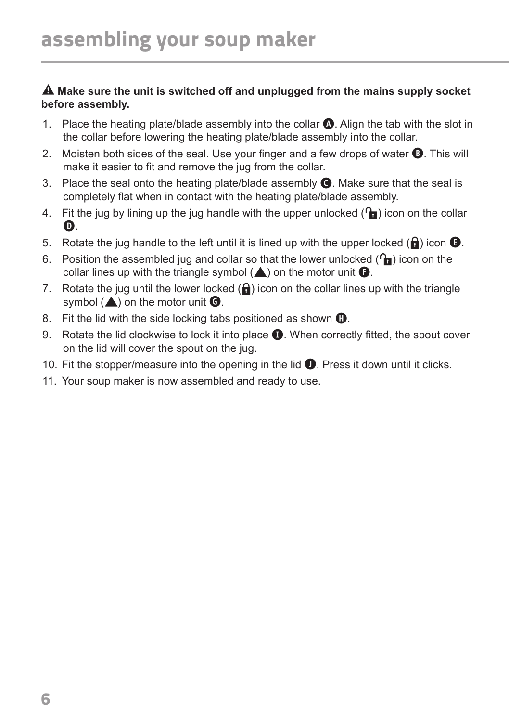#### **Make sure the unit is switched off and unplugged from the mains supply socket before assembly.**

- 1. Place the heating plate/blade assembly into the collar **A**. Align the tab with the slot in the collar before lowering the heating plate/blade assembly into the collar.
- 2. Moisten both sides of the seal. Use your finger and a few drops of water **B**. This will make it easier to fit and remove the jug from the collar.
- 3. Place the seal onto the heating plate/blade assembly **C**. Make sure that the seal is completely flat when in contact with the heating plate/blade assembly.
- 4. Fit the jug by lining up the jug handle with the upper unlocked  $(\mathbf{r})$  icon on the collar **D**.
- 5. Rotate the jug handle to the left until it is lined up with the upper locked  $(\mathbf{\hat{a}})$  icon  $\mathbf{\hat{b}}$ .
- 6. Position the assembled jug and collar so that the lower unlocked  $(\mathbf{h})$  icon on the collar lines up with the triangle symbol  $(\triangle)$  on the motor unit  $\bigcirc$ .
- 7. Rotate the jug until the lower locked  $(\mathbf{\hat{a}})$  icon on the collar lines up with the triangle symbol  $(\triangle)$  on the motor unit  $\bigcirc$ .
- 8. Fit the lid with the side locking tabs positioned as shown **<b>O**.
- 9. Rotate the lid clockwise to lock it into place **I**. When correctly fitted, the spout cover on the lid will cover the spout on the jug.
- 10. Fit the stopper/measure into the opening in the lid **J**. Press it down until it clicks.
- 11. Your soup maker is now assembled and ready to use.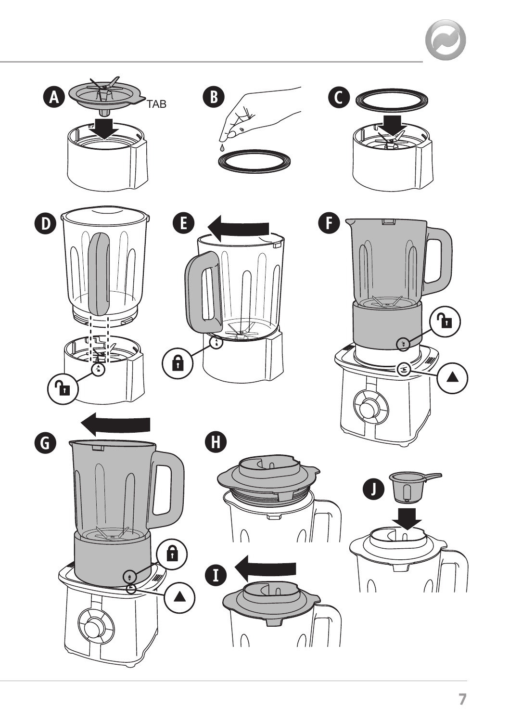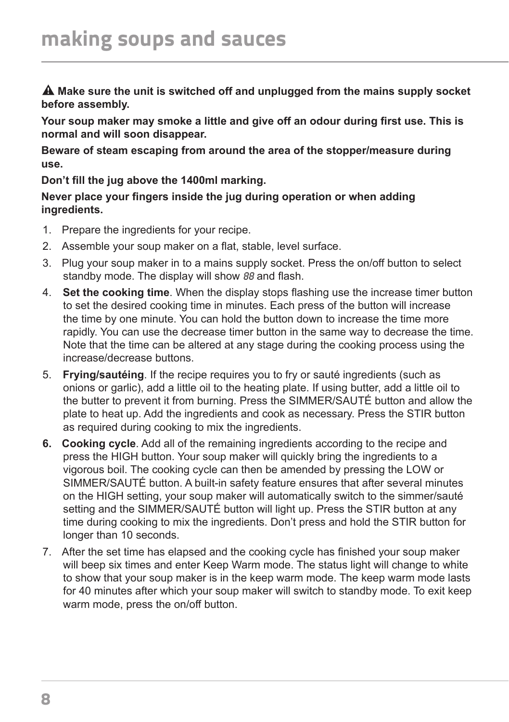**Make sure the unit is switched off and unplugged from the mains supply socket before assembly.** 

**Your soup maker may smoke a little and give off an odour during first use. This is normal and will soon disappear.**

**Beware of steam escaping from around the area of the stopper/measure during use.**

**Don't fill the jug above the 1400ml marking.**

**Never place your fingers inside the jug during operation or when adding ingredients.**

- 1. Prepare the ingredients for your recipe.
- 2. Assemble your soup maker on a flat, stable, level surface.
- 3. Plug your soup maker in to a mains supply socket. Press the on/off button to select standby mode. The display will show 88 and flash.
- 4. **Set the cooking time**. When the display stops flashing use the increase timer button to set the desired cooking time in minutes. Each press of the button will increase the time by one minute. You can hold the button down to increase the time more rapidly. You can use the decrease timer button in the same way to decrease the time. Note that the time can be altered at any stage during the cooking process using the increase/decrease buttons.
- 5. **Frying/sautéing**. If the recipe requires you to fry or sauté ingredients (such as onions or garlic), add a little oil to the heating plate. If using butter, add a little oil to the butter to prevent it from burning. Press the SIMMER/SAUTÉ button and allow the plate to heat up. Add the ingredients and cook as necessary. Press the STIR button as required during cooking to mix the ingredients.
- **6. Cooking cycle**. Add all of the remaining ingredients according to the recipe and press the HIGH button. Your soup maker will quickly bring the ingredients to a vigorous boil. The cooking cycle can then be amended by pressing the LOW or SIMMER/SAUTÉ button. A built-in safety feature ensures that after several minutes on the HIGH setting, your soup maker will automatically switch to the simmer/sauté setting and the SIMMER/SAUTÉ button will light up. Press the STIR button at any time during cooking to mix the ingredients. Don't press and hold the STIR button for longer than 10 seconds.
- 7. After the set time has elapsed and the cooking cycle has finished your soup maker will beep six times and enter Keep Warm mode. The status light will change to white to show that your soup maker is in the keep warm mode. The keep warm mode lasts for 40 minutes after which your soup maker will switch to standby mode. To exit keep warm mode, press the on/off button.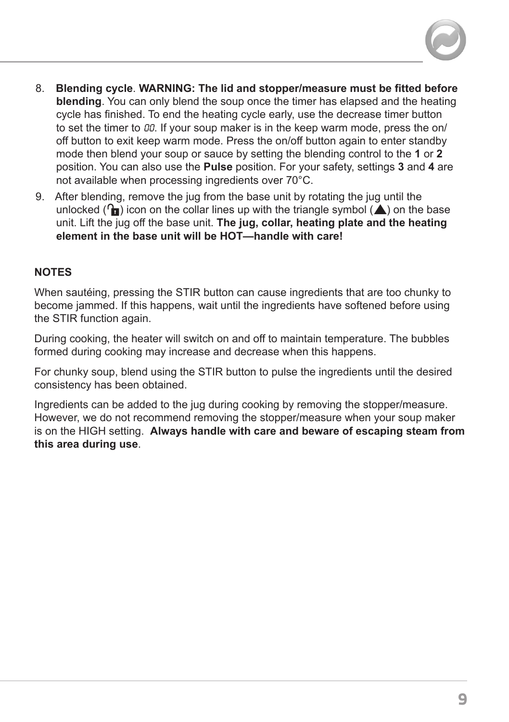

- 8. **Blending cycle**. **WARNING: The lid and stopper/measure must be fitted before blending**. You can only blend the soup once the timer has elapsed and the heating cycle has finished. To end the heating cycle early, use the decrease timer button to set the timer to  $00$ . If your soup maker is in the keep warm mode, press the on/ off button to exit keep warm mode. Press the on/off button again to enter standby mode then blend your soup or sauce by setting the blending control to the **1** or **2** position. You can also use the **Pulse** position. For your safety, settings **3** and **4** are not available when processing ingredients over 70°C.
- 9. After blending, remove the jug from the base unit by rotating the jug until the unlocked  $\binom{n}{\bullet}$  icon on the collar lines up with the triangle symbol  $\blacktriangle$  on the base unit. Lift the jug off the base unit. **The jug, collar, heating plate and the heating element in the base unit will be HOT—handle with care!**

#### **NOTES**

When sautéing, pressing the STIR button can cause ingredients that are too chunky to become jammed. If this happens, wait until the ingredients have softened before using the STIR function again.

During cooking, the heater will switch on and off to maintain temperature. The bubbles formed during cooking may increase and decrease when this happens.

For chunky soup, blend using the STIR button to pulse the ingredients until the desired consistency has been obtained.

Ingredients can be added to the jug during cooking by removing the stopper/measure. However, we do not recommend removing the stopper/measure when your soup maker is on the HIGH setting. **Always handle with care and beware of escaping steam from this area during use**.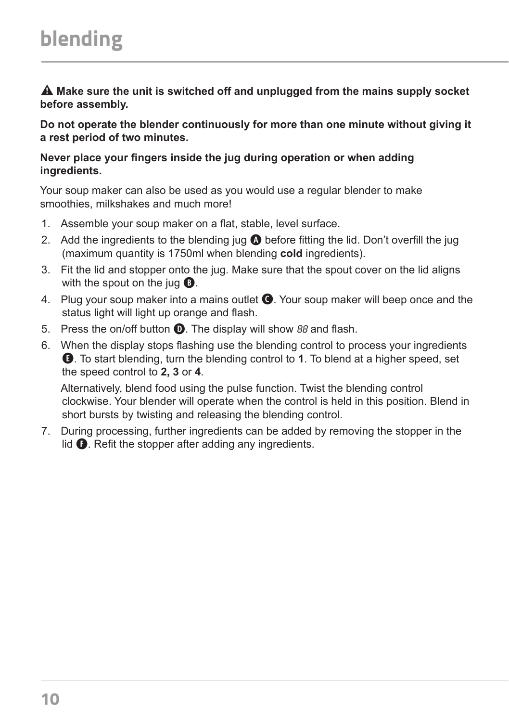**Make sure the unit is switched off and unplugged from the mains supply socket before assembly.** 

**Do not operate the blender continuously for more than one minute without giving it a rest period of two minutes.**

#### **Never place your fingers inside the jug during operation or when adding ingredients.**

Your soup maker can also be used as you would use a regular blender to make smoothies, milkshakes and much more!

- 1. Assemble your soup maker on a flat, stable, level surface.
- 2. Add the ingredients to the blending jug **A** before fitting the lid. Don't overfill the jug (maximum quantity is 1750ml when blending **cold** ingredients).
- 3. Fit the lid and stopper onto the jug. Make sure that the spout cover on the lid aligns with the spout on the jug **B**.
- 4. Plug your soup maker into a mains outlet **C**. Your soup maker will beep once and the status light will light up orange and flash.
- 5. Press the on/off button **D**. The display will show 88 and flash.
- 6. When the display stops flashing use the blending control to process your ingredients **E**. To start blending, turn the blending control to **1**. To blend at a higher speed, set the speed control to **2, 3** or **4**.

Alternatively, blend food using the pulse function. Twist the blending control clockwise. Your blender will operate when the control is held in this position. Blend in short bursts by twisting and releasing the blending control.

7. During processing, further ingredients can be added by removing the stopper in the lid  $\bullet$ . Refit the stopper after adding any ingredients.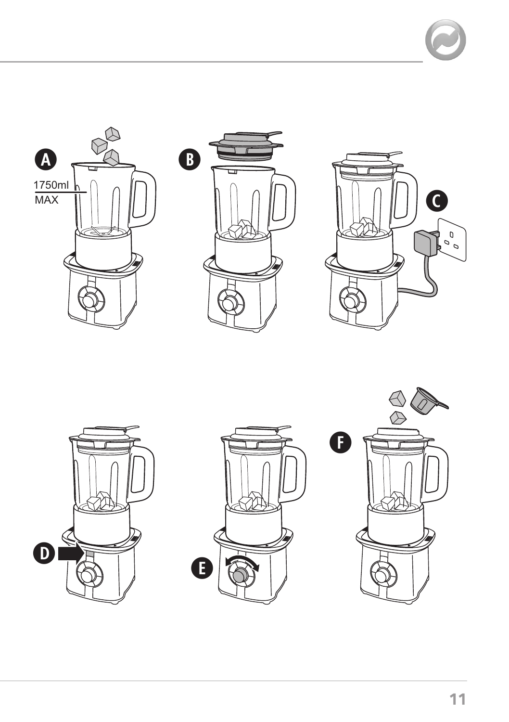







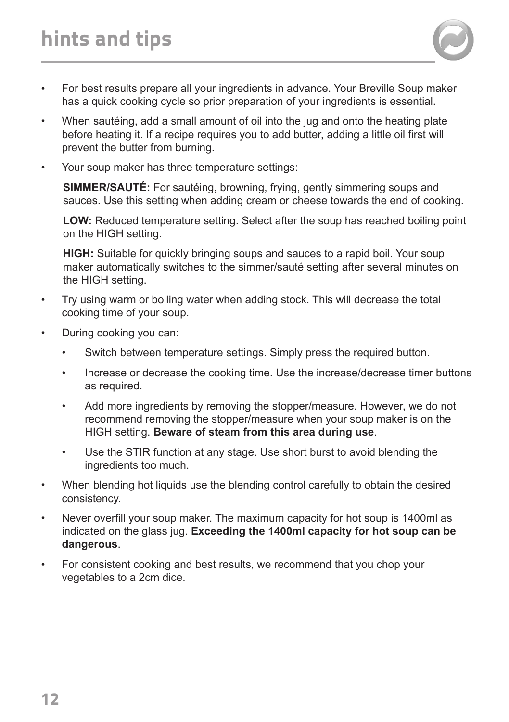

- When sautéing, add a small amount of oil into the jug and onto the heating plate before heating it. If a recipe requires you to add butter, adding a little oil first will prevent the butter from burning.
- Your soup maker has three temperature settings:

**SIMMER/SAUTÉ:** For sautéing, browning, frying, gently simmering soups and sauces. Use this setting when adding cream or cheese towards the end of cooking.

**LOW:** Reduced temperature setting. Select after the soup has reached boiling point on the HIGH setting.

**HIGH:** Suitable for quickly bringing soups and sauces to a rapid boil. Your soup maker automatically switches to the simmer/sauté setting after several minutes on the HIGH setting.

- Try using warm or boiling water when adding stock. This will decrease the total cooking time of your soup.
- During cooking you can:
	- Switch between temperature settings. Simply press the required button.
	- Increase or decrease the cooking time. Use the increase/decrease timer buttons as required.
	- Add more ingredients by removing the stopper/measure. However, we do not recommend removing the stopper/measure when your soup maker is on the HIGH setting. **Beware of steam from this area during use**.
	- Use the STIR function at any stage. Use short burst to avoid blending the ingredients too much.
- When blending hot liquids use the blending control carefully to obtain the desired consistency.
- Never overfill your soup maker. The maximum capacity for hot soup is 1400ml as indicated on the glass jug. **Exceeding the 1400ml capacity for hot soup can be dangerous**.
- For consistent cooking and best results, we recommend that you chop your vegetables to a 2cm dice.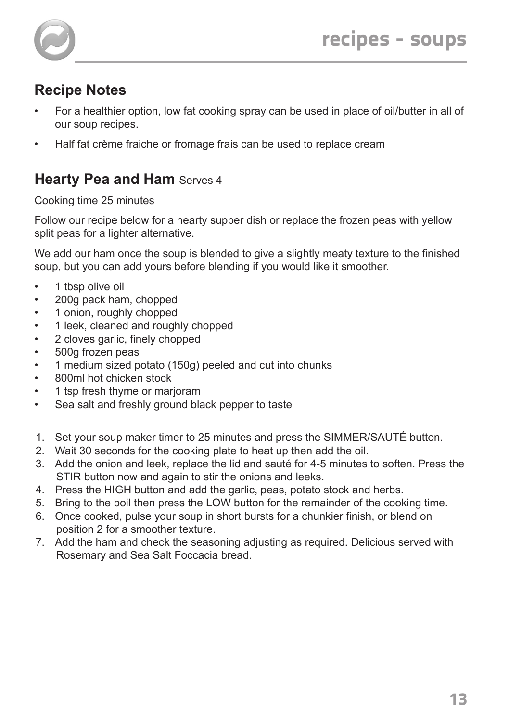

- For a healthier option, low fat cooking spray can be used in place of oil/butter in all of our soup recipes.
- Half fat crème fraiche or fromage frais can be used to replace cream

## **Hearty Pea and Ham Serves 4**

Cooking time 25 minutes

Follow our recipe below for a hearty supper dish or replace the frozen peas with yellow split peas for a lighter alternative.

We add our ham once the soup is blended to give a slightly meaty texture to the finished soup, but you can add yours before blending if you would like it smoother.

- 1 tbsp olive oil
- 200g pack ham, chopped
- 1 onion, roughly chopped
- 1 leek, cleaned and roughly chopped
- 2 cloves garlic, finely chopped
- 500g frozen peas
- 1 medium sized potato (150g) peeled and cut into chunks
- 800ml hot chicken stock
- 1 tsp fresh thyme or marjoram
- Sea salt and freshly ground black pepper to taste
- 1. Set your soup maker timer to 25 minutes and press the SIMMER/SAUTÉ button.
- 2. Wait 30 seconds for the cooking plate to heat up then add the oil.
- 3. Add the onion and leek, replace the lid and sauté for 4-5 minutes to soften. Press the STIR button now and again to stir the onions and leeks.
- 4. Press the HIGH button and add the garlic, peas, potato stock and herbs.
- 5. Bring to the boil then press the LOW button for the remainder of the cooking time.
- 6. Once cooked, pulse your soup in short bursts for a chunkier finish, or blend on position 2 for a smoother texture.
- 7. Add the ham and check the seasoning adjusting as required. Delicious served with Rosemary and Sea Salt Foccacia bread.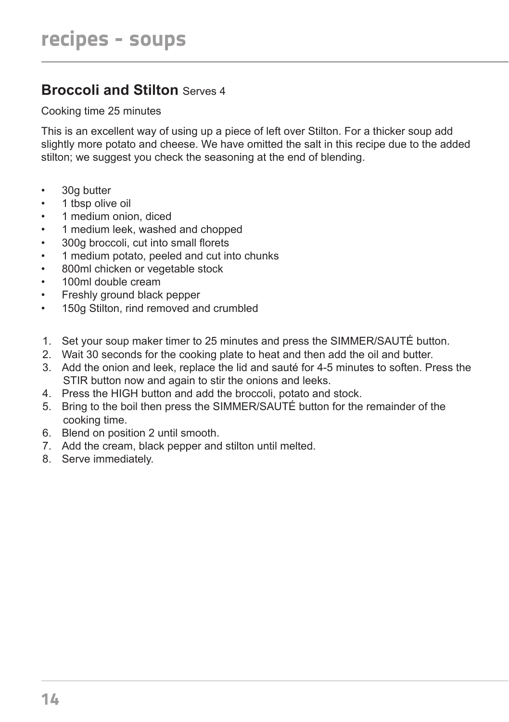## **Broccoli and Stilton** Serves 4

Cooking time 25 minutes

This is an excellent way of using up a piece of left over Stilton. For a thicker soup add slightly more potato and cheese. We have omitted the salt in this recipe due to the added stilton; we suggest you check the seasoning at the end of blending.

- 30g butter
- 1 tbsp olive oil
- 1 medium onion, diced
- 1 medium leek, washed and chopped
- 300g broccoli, cut into small florets
- 1 medium potato, peeled and cut into chunks
- 800ml chicken or vegetable stock
- 100ml double cream
- Freshly ground black pepper
- 150g Stilton, rind removed and crumbled
- 1. Set your soup maker timer to 25 minutes and press the SIMMER/SAUTÉ button.
- 2. Wait 30 seconds for the cooking plate to heat and then add the oil and butter.
- 3. Add the onion and leek, replace the lid and sauté for 4-5 minutes to soften. Press the STIR button now and again to stir the onions and leeks.
- 4. Press the HIGH button and add the broccoli, potato and stock.
- 5. Bring to the boil then press the SIMMER/SAUTÉ button for the remainder of the cooking time.
- 6. Blend on position 2 until smooth.
- 7. Add the cream, black pepper and stilton until melted.
- 8. Serve immediately.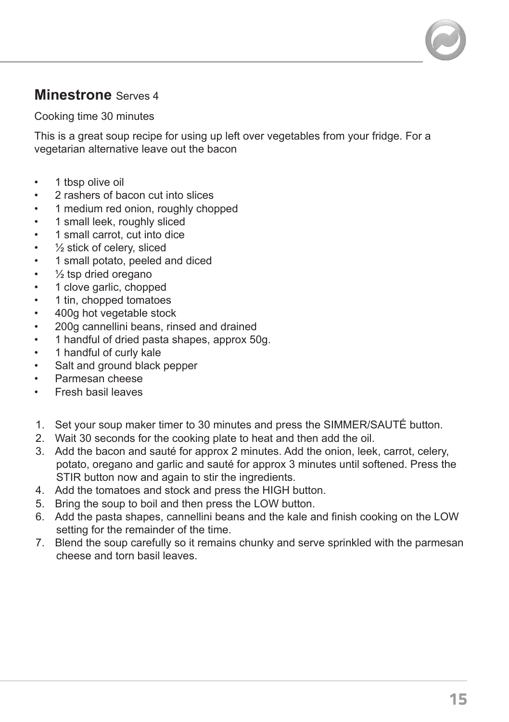## **Minestrone** Serves 4

Cooking time 30 minutes

This is a great soup recipe for using up left over vegetables from your fridge. For a vegetarian alternative leave out the bacon

- 1 tbsp olive oil
- 2 rashers of bacon cut into slices
- 1 medium red onion, roughly chopped
- 1 small leek, roughly sliced
- 1 small carrot, cut into dice
- $\frac{1}{2}$  stick of celery, sliced
- 1 small potato, peeled and diced
- $\frac{1}{2}$  tsp dried oregano
- 1 clove garlic, chopped
- 1 tin, chopped tomatoes
- 400g hot vegetable stock
- 200g cannellini beans, rinsed and drained
- 1 handful of dried pasta shapes, approx 50g.
- 1 handful of curly kale
- Salt and ground black pepper
- Parmesan cheese
- Fresh basil leaves
- 1. Set your soup maker timer to 30 minutes and press the SIMMER/SAUTÉ button.
- 2. Wait 30 seconds for the cooking plate to heat and then add the oil.
- 3. Add the bacon and sauté for approx 2 minutes. Add the onion, leek, carrot, celery, potato, oregano and garlic and sauté for approx 3 minutes until softened. Press the STIR button now and again to stir the ingredients.
- 4. Add the tomatoes and stock and press the HIGH button.
- 5. Bring the soup to boil and then press the LOW button.
- 6. Add the pasta shapes, cannellini beans and the kale and finish cooking on the LOW setting for the remainder of the time.
- 7. Blend the soup carefully so it remains chunky and serve sprinkled with the parmesan cheese and torn basil leaves.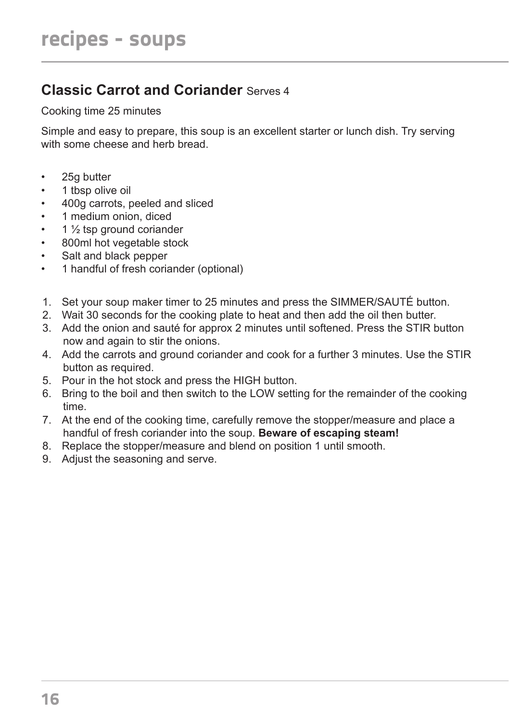# **Classic Carrot and Coriander** Serves 4

Cooking time 25 minutes

Simple and easy to prepare, this soup is an excellent starter or lunch dish. Try serving with some cheese and herb bread.

- 25g butter
- 1 tbsp olive oil
- 400g carrots, peeled and sliced
- 1 medium onion, diced
- $\cdot$  1  $\frac{1}{2}$  tsp ground coriander
- 800ml hot vegetable stock
- Salt and black pepper
- 1 handful of fresh coriander (optional)
- 1. Set your soup maker timer to 25 minutes and press the SIMMER/SAUTÉ button.
- 2. Wait 30 seconds for the cooking plate to heat and then add the oil then butter.
- 3. Add the onion and sauté for approx 2 minutes until softened. Press the STIR button now and again to stir the onions.
- 4. Add the carrots and ground coriander and cook for a further 3 minutes. Use the STIR button as required.
- 5. Pour in the hot stock and press the HIGH button.
- 6. Bring to the boil and then switch to the LOW setting for the remainder of the cooking time.
- 7. At the end of the cooking time, carefully remove the stopper/measure and place a handful of fresh coriander into the soup. **Beware of escaping steam!**
- 8. Replace the stopper/measure and blend on position 1 until smooth.
- 9. Adjust the seasoning and serve.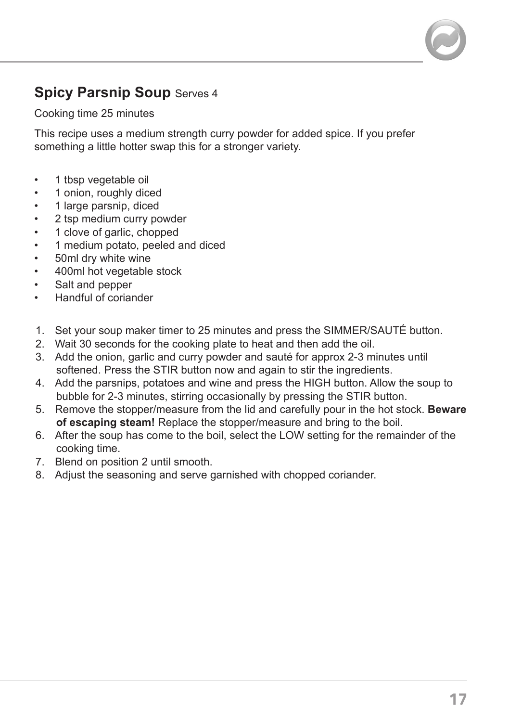## **Spicy Parsnip Soup Serves 4**

Cooking time 25 minutes

This recipe uses a medium strength curry powder for added spice. If you prefer something a little hotter swap this for a stronger variety.

- 1 tbsp vegetable oil
- 1 onion, roughly diced
- 1 large parsnip, diced
- 2 tsp medium curry powder
- 1 clove of garlic, chopped
- 1 medium potato, peeled and diced
- 50ml dry white wine
- 400ml hot vegetable stock
- Salt and pepper
- Handful of coriander
- 1. Set your soup maker timer to 25 minutes and press the SIMMER/SAUTÉ button.
- 2. Wait 30 seconds for the cooking plate to heat and then add the oil.
- 3. Add the onion, garlic and curry powder and sauté for approx 2-3 minutes until softened. Press the STIR button now and again to stir the ingredients.
- 4. Add the parsnips, potatoes and wine and press the HIGH button. Allow the soup to bubble for 2-3 minutes, stirring occasionally by pressing the STIR button.
- 5. Remove the stopper/measure from the lid and carefully pour in the hot stock. **Beware of escaping steam!** Replace the stopper/measure and bring to the boil.
- 6. After the soup has come to the boil, select the LOW setting for the remainder of the cooking time.
- 7. Blend on position 2 until smooth.
- 8. Adjust the seasoning and serve garnished with chopped coriander.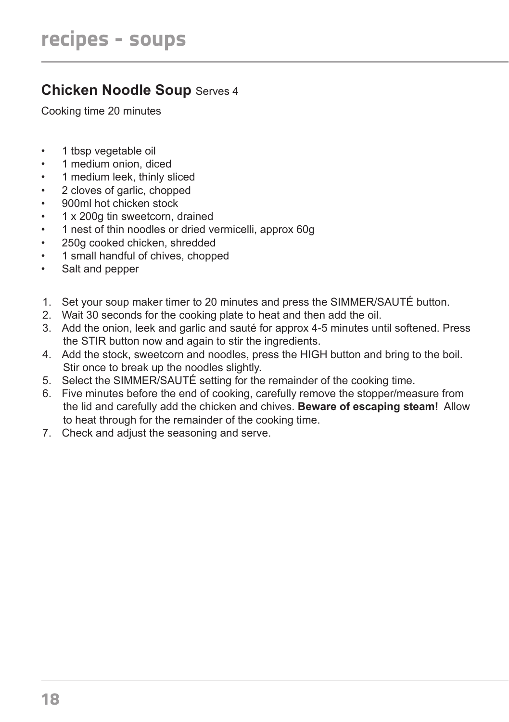## **Chicken Noodle Soup** Serves 4

Cooking time 20 minutes

- 1 tbsp vegetable oil
- 1 medium onion, diced
- 1 medium leek, thinly sliced
- 2 cloves of garlic, chopped
- 900ml hot chicken stock
- 1 x 200g tin sweetcorn, drained
- 1 nest of thin noodles or dried vermicelli, approx 60g
- 250g cooked chicken, shredded
- 1 small handful of chives, chopped
- Salt and pepper
- 1. Set your soup maker timer to 20 minutes and press the SIMMER/SAUTÉ button.
- 2. Wait 30 seconds for the cooking plate to heat and then add the oil.
- 3. Add the onion, leek and garlic and sauté for approx 4-5 minutes until softened. Press the STIR button now and again to stir the ingredients.
- 4. Add the stock, sweetcorn and noodles, press the HIGH button and bring to the boil. Stir once to break up the noodles slightly.
- 5. Select the SIMMER/SAUTÉ setting for the remainder of the cooking time.
- 6. Five minutes before the end of cooking, carefully remove the stopper/measure from the lid and carefully add the chicken and chives. **Beware of escaping steam!** Allow to heat through for the remainder of the cooking time.
- 7. Check and adjust the seasoning and serve.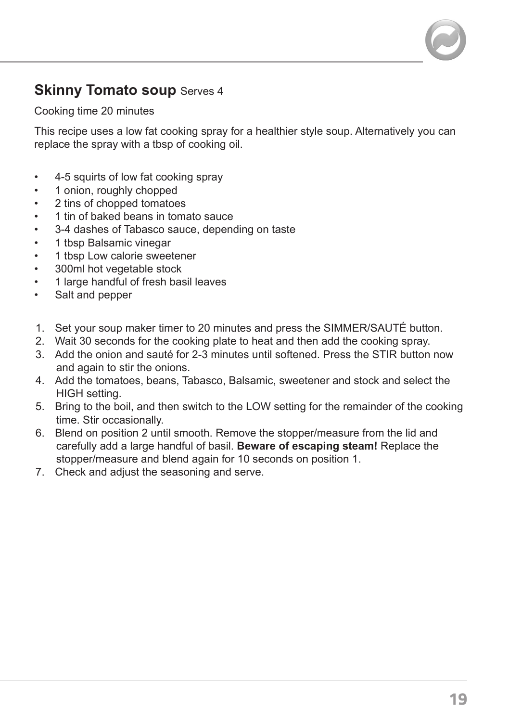## **Skinny Tomato soup Serves 4**

Cooking time 20 minutes

This recipe uses a low fat cooking spray for a healthier style soup. Alternatively you can replace the spray with a tbsp of cooking oil.

- 4-5 squirts of low fat cooking spray
- 1 onion, roughly chopped
- 2 tins of chopped tomatoes
- 1 tin of baked beans in tomato sauce
- 3-4 dashes of Tabasco sauce, depending on taste
- 1 tbsp Balsamic vinegar
- 1 tbsp Low calorie sweetener
- 300ml hot vegetable stock
- 1 large handful of fresh basil leaves
- Salt and pepper
- 1. Set your soup maker timer to 20 minutes and press the SIMMER/SAUTÉ button.
- 2. Wait 30 seconds for the cooking plate to heat and then add the cooking spray.
- 3. Add the onion and sauté for 2-3 minutes until softened. Press the STIR button now and again to stir the onions.
- 4. Add the tomatoes, beans, Tabasco, Balsamic, sweetener and stock and select the HIGH setting.
- 5. Bring to the boil, and then switch to the LOW setting for the remainder of the cooking time. Stir occasionally.
- 6. Blend on position 2 until smooth. Remove the stopper/measure from the lid and carefully add a large handful of basil. **Beware of escaping steam!** Replace the stopper/measure and blend again for 10 seconds on position 1.
- 7. Check and adjust the seasoning and serve.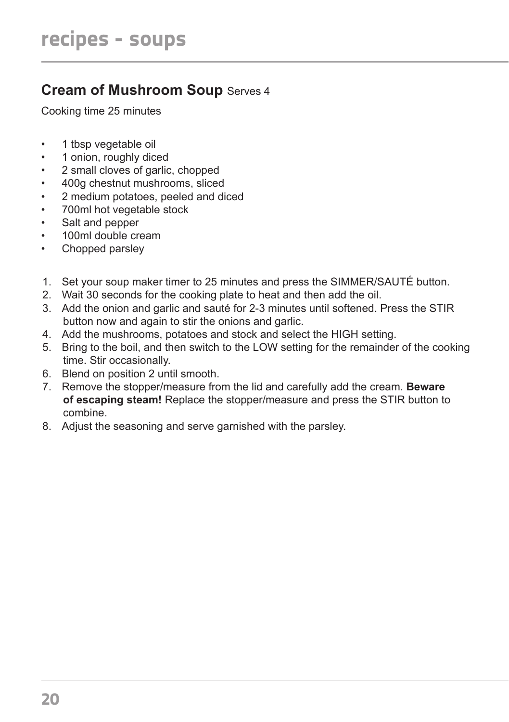# **Cream of Mushroom Soup Serves 4**

Cooking time 25 minutes

- 1 tbsp vegetable oil
- 1 onion, roughly diced
- 2 small cloves of garlic, chopped
- 400g chestnut mushrooms, sliced
- 2 medium potatoes, peeled and diced
- 700ml hot vegetable stock
- Salt and pepper
- 100ml double cream
- Chopped parsley
- 1. Set your soup maker timer to 25 minutes and press the SIMMER/SAUTÉ button.
- 2. Wait 30 seconds for the cooking plate to heat and then add the oil.
- 3. Add the onion and garlic and sauté for 2-3 minutes until softened. Press the STIR button now and again to stir the onions and garlic.
- 4. Add the mushrooms, potatoes and stock and select the HIGH setting.
- 5. Bring to the boil, and then switch to the LOW setting for the remainder of the cooking time. Stir occasionally.
- 6. Blend on position 2 until smooth.
- 7. Remove the stopper/measure from the lid and carefully add the cream. **Beware of escaping steam!** Replace the stopper/measure and press the STIR button to combine.
- 8. Adjust the seasoning and serve garnished with the parsley.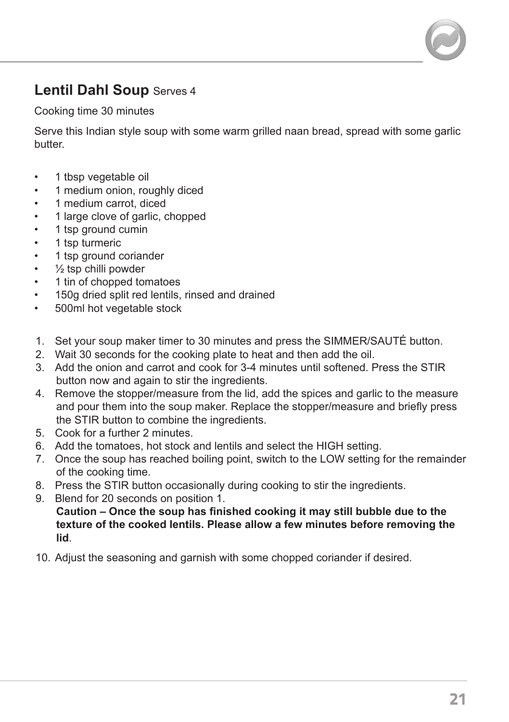# **Lentil Dahl Soup** Serves 4

Cooking time 30 minutes

Serve this Indian style soup with some warm grilled naan bread, spread with some garlic butter.

- 1 tbsp vegetable oil
- 1 medium onion, roughly diced
- 1 medium carrot, diced
- 1 large clove of garlic, chopped
- 1 tsp ground cumin
- 1 tsp turmeric
- 1 tsp ground coriander
- $\cdot$   $\frac{1}{2}$  tsp chilli powder
- 1 tin of chopped tomatoes
- 150g dried split red lentils, rinsed and drained
- 500ml hot vegetable stock
- 1. Set your soup maker timer to 30 minutes and press the SIMMER/SAUTÉ button.
- 2. Wait 30 seconds for the cooking plate to heat and then add the oil.
- 3. Add the onion and carrot and cook for 3-4 minutes until softened. Press the STIR button now and again to stir the ingredients.
- 4. Remove the stopper/measure from the lid, add the spices and garlic to the measure and pour them into the soup maker. Replace the stopper/measure and briefly press the STIR button to combine the ingredients.
- 5. Cook for a further 2 minutes.
- 6. Add the tomatoes, hot stock and lentils and select the HIGH setting.
- 7. Once the soup has reached boiling point, switch to the LOW setting for the remainder of the cooking time.
- 8. Press the STIR button occasionally during cooking to stir the ingredients.
- 9. Blend for 20 seconds on position 1.

 **Caution – Once the soup has finished cooking it may still bubble due to the texture of the cooked lentils. Please allow a few minutes before removing the lid**.

10. Adjust the seasoning and garnish with some chopped coriander if desired.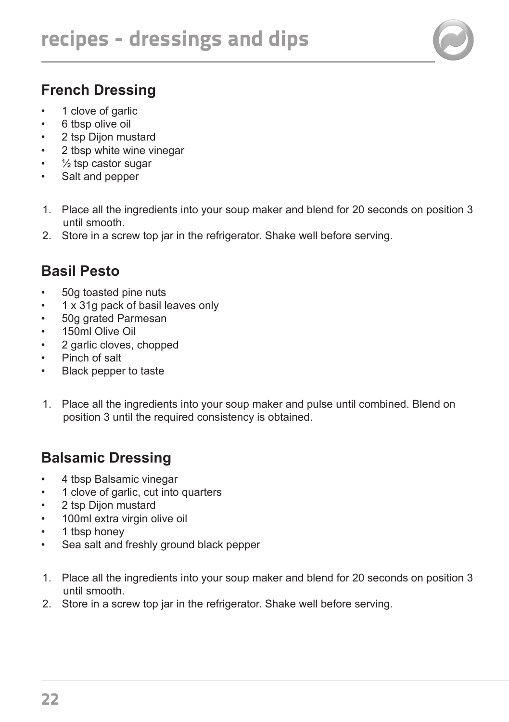

# **French Dressing**

- 1 clove of garlic
- 6 tbsp olive oil
- 2 tsp Dijon mustard
- 2 tbsp white wine vinegar
- $\frac{1}{2}$  tsp castor sugar
- Salt and pepper
- 1. Place all the ingredients into your soup maker and blend for 20 seconds on position 3 until smooth.
- 2. Store in a screw top jar in the refrigerator. Shake well before serving.

# **Basil Pesto**

- 50g toasted pine nuts
- 1 x 31g pack of basil leaves only
- 50g grated Parmesan
- 150ml Olive Oil
- 2 garlic cloves, chopped
- Pinch of salt
- Black pepper to taste
- 1. Place all the ingredients into your soup maker and pulse until combined. Blend on position 3 until the required consistency is obtained.

# **Balsamic Dressing**

- 4 tbsp Balsamic vinegar
- 1 clove of garlic, cut into quarters
- 2 tsp Dijon mustard
- 100ml extra virgin olive oil
- 1 tbsp honey
- Sea salt and freshly ground black pepper
- 1. Place all the ingredients into your soup maker and blend for 20 seconds on position 3 until smooth.
- 2. Store in a screw top jar in the refrigerator. Shake well before serving.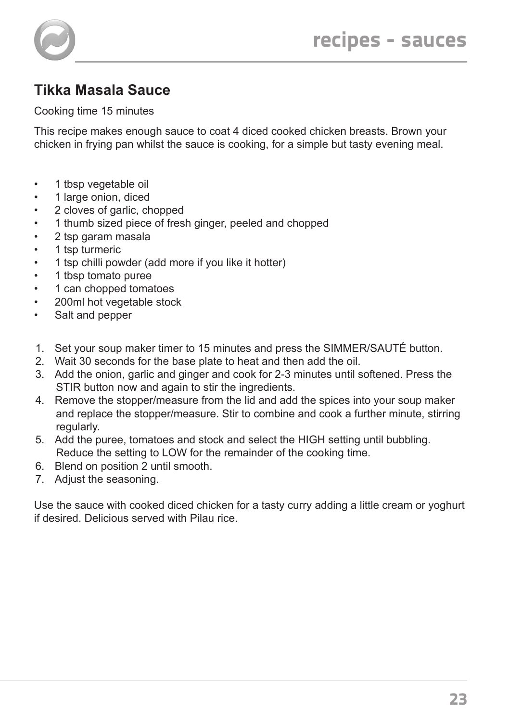# **Tikka Masala Sauce**

Cooking time 15 minutes

This recipe makes enough sauce to coat 4 diced cooked chicken breasts. Brown your chicken in frying pan whilst the sauce is cooking, for a simple but tasty evening meal.

- 1 tbsp vegetable oil
- 1 large onion, diced
- 2 cloves of garlic, chopped
- 1 thumb sized piece of fresh ginger, peeled and chopped
- 2 tsp garam masala
- 1 tsp turmeric
- 1 tsp chilli powder (add more if you like it hotter)
- 1 tbsp tomato puree
- 1 can chopped tomatoes
- 200ml hot vegetable stock
- Salt and pepper
- 1. Set your soup maker timer to 15 minutes and press the SIMMER/SAUTÉ button.
- 2. Wait 30 seconds for the base plate to heat and then add the oil.
- 3. Add the onion, garlic and ginger and cook for 2-3 minutes until softened. Press the STIR button now and again to stir the ingredients.
- 4. Remove the stopper/measure from the lid and add the spices into your soup maker and replace the stopper/measure. Stir to combine and cook a further minute, stirring regularly.
- 5. Add the puree, tomatoes and stock and select the HIGH setting until bubbling. Reduce the setting to LOW for the remainder of the cooking time.
- 6. Blend on position 2 until smooth.
- 7. Adjust the seasoning.

Use the sauce with cooked diced chicken for a tasty curry adding a little cream or yoghurt if desired. Delicious served with Pilau rice.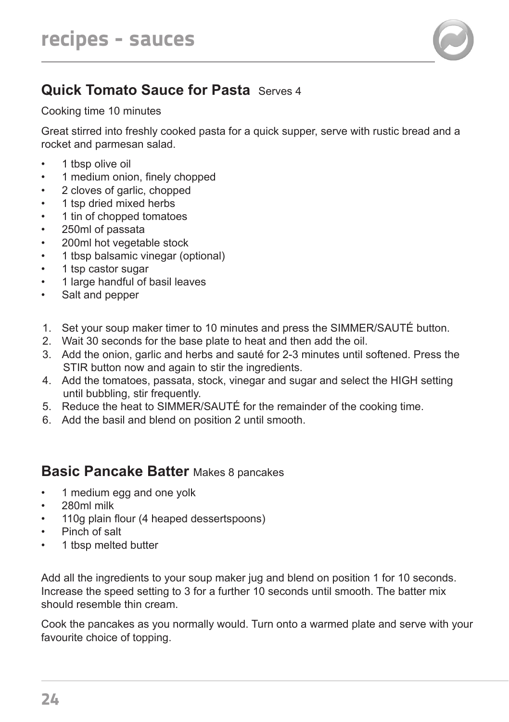

# **Quick Tomato Sauce for Pasta** Serves 4

Cooking time 10 minutes

Great stirred into freshly cooked pasta for a quick supper, serve with rustic bread and a rocket and parmesan salad.

- 1 tbsp olive oil
- 1 medium onion, finely chopped
- 2 cloves of garlic, chopped
- 1 tsp dried mixed herbs
- 1 tin of chopped tomatoes
- 250ml of passata
- 200ml hot vegetable stock
- 1 tbsp balsamic vinegar (optional)
- 1 tsp castor sugar
- 1 large handful of basil leaves
- Salt and pepper
- 1. Set your soup maker timer to 10 minutes and press the SIMMER/SAUTÉ button.
- 2. Wait 30 seconds for the base plate to heat and then add the oil.
- 3. Add the onion, garlic and herbs and sauté for 2-3 minutes until softened. Press the STIR button now and again to stir the ingredients.
- 4. Add the tomatoes, passata, stock, vinegar and sugar and select the HIGH setting until bubbling, stir frequently.
- 5. Reduce the heat to SIMMER/SAUTÉ for the remainder of the cooking time.
- 6. Add the basil and blend on position 2 until smooth.

## **Basic Pancake Batter** Makes 8 pancakes

- 1 medium egg and one yolk
- 280ml milk
- 110g plain flour (4 heaped dessertspoons)
- Pinch of salt
- 1 tbsp melted butter

Add all the ingredients to your soup maker jug and blend on position 1 for 10 seconds. Increase the speed setting to 3 for a further 10 seconds until smooth. The batter mix should resemble thin cream.

Cook the pancakes as you normally would. Turn onto a warmed plate and serve with your favourite choice of topping.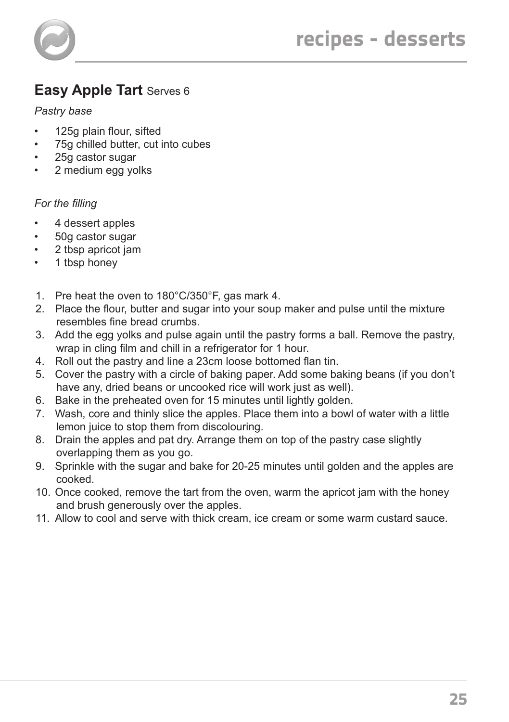

# **Easy Apple Tart** Serves 6

#### *Pastry base*

- 125g plain flour, sifted
- 75g chilled butter, cut into cubes
- 25g castor sugar
- 2 medium egg yolks

#### *For the filling*

- 4 dessert apples
- 50g castor sugar
- 2 tbsp apricot jam
- 1 tbsp honey
- 1. Pre heat the oven to 180°C/350°F, gas mark 4.
- 2. Place the flour, butter and sugar into your soup maker and pulse until the mixture resembles fine bread crumbs.
- 3. Add the egg yolks and pulse again until the pastry forms a ball. Remove the pastry, wrap in cling film and chill in a refrigerator for 1 hour.
- 4. Roll out the pastry and line a 23cm loose bottomed flan tin.
- 5. Cover the pastry with a circle of baking paper. Add some baking beans (if you don't have any, dried beans or uncooked rice will work just as well).
- 6. Bake in the preheated oven for 15 minutes until lightly golden.
- 7. Wash, core and thinly slice the apples. Place them into a bowl of water with a little lemon juice to stop them from discolouring.
- 8. Drain the apples and pat dry. Arrange them on top of the pastry case slightly overlapping them as you go.
- 9. Sprinkle with the sugar and bake for 20-25 minutes until golden and the apples are cooked.
- 10. Once cooked, remove the tart from the oven, warm the apricot jam with the honey and brush generously over the apples.
- 11. Allow to cool and serve with thick cream, ice cream or some warm custard sauce.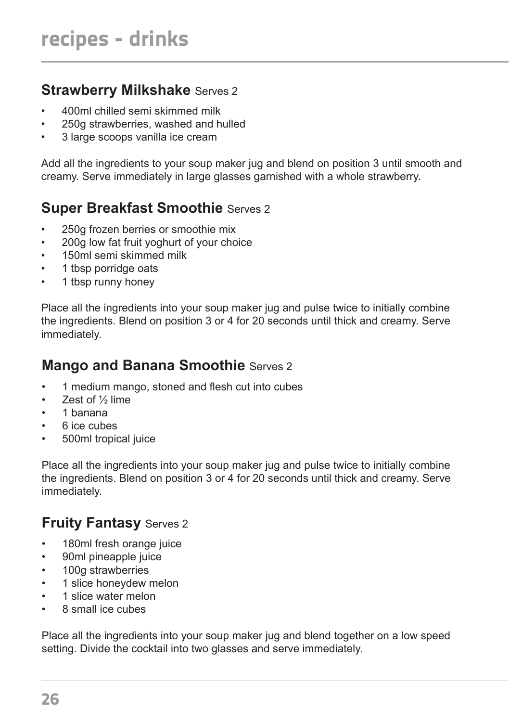## **Strawberry Milkshake** Serves 2

- 400ml chilled semi skimmed milk
- 250g strawberries, washed and hulled
- 3 large scoops vanilla ice cream

Add all the ingredients to your soup maker jug and blend on position 3 until smooth and creamy. Serve immediately in large glasses garnished with a whole strawberry.

# **Super Breakfast Smoothie** Serves 2

- 250g frozen berries or smoothie mix
- 200g low fat fruit yoghurt of your choice
- 150ml semi skimmed milk
- 1 tbsp porridge oats
- 1 tbsp runny honey

Place all the ingredients into your soup maker jug and pulse twice to initially combine the ingredients. Blend on position 3 or 4 for 20 seconds until thick and creamy. Serve immediately.

## **Mango and Banana Smoothie** Serves 2

- 1 medium mango, stoned and flesh cut into cubes
- Zest of 1/2 lime
- 1 banana
- 6 ice cubes
- 500ml tropical juice

Place all the ingredients into your soup maker jug and pulse twice to initially combine the ingredients. Blend on position 3 or 4 for 20 seconds until thick and creamy. Serve immediately.

## **Fruity Fantasy Serves 2**

- 180ml fresh orange juice
- 90ml pineapple juice
- 100g strawberries
- 1 slice honeydew melon
- 1 slice water melon
- 8 small ice cubes

Place all the ingredients into your soup maker jug and blend together on a low speed setting. Divide the cocktail into two glasses and serve immediately.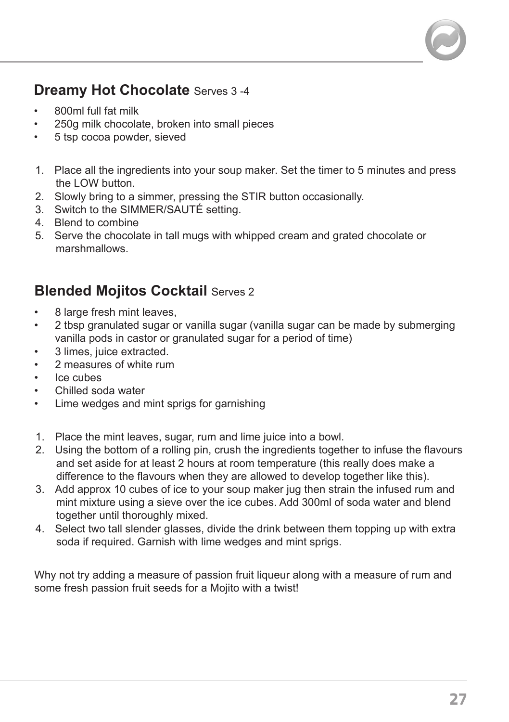## **Dreamy Hot Chocolate** Serves 3-4

- 800ml full fat milk
- 250g milk chocolate, broken into small pieces
- 5 tsp cocoa powder, sieved
- 1. Place all the ingredients into your soup maker. Set the timer to 5 minutes and press the LOW button.
- 2. Slowly bring to a simmer, pressing the STIR button occasionally.
- 3. Switch to the SIMMER/SAUTÉ setting.
- 4. Blend to combine
- 5. Serve the chocolate in tall mugs with whipped cream and grated chocolate or marshmallows.

## **Blended Moiitos Cocktail Serves 2**

- 8 large fresh mint leaves.
- 2 tbsp granulated sugar or vanilla sugar (vanilla sugar can be made by submerging vanilla pods in castor or granulated sugar for a period of time)
- 3 limes, juice extracted.
- 2 measures of white rum
- Ice cubes
- Chilled soda water
- Lime wedges and mint sprigs for garnishing
- 1. Place the mint leaves, sugar, rum and lime juice into a bowl.
- 2. Using the bottom of a rolling pin, crush the ingredients together to infuse the flavours and set aside for at least 2 hours at room temperature (this really does make a difference to the flavours when they are allowed to develop together like this).
- 3. Add approx 10 cubes of ice to your soup maker jug then strain the infused rum and mint mixture using a sieve over the ice cubes. Add 300ml of soda water and blend together until thoroughly mixed.
- 4. Select two tall slender glasses, divide the drink between them topping up with extra soda if required. Garnish with lime wedges and mint sprigs.

Why not try adding a measure of passion fruit liqueur along with a measure of rum and some fresh passion fruit seeds for a Mojito with a twist!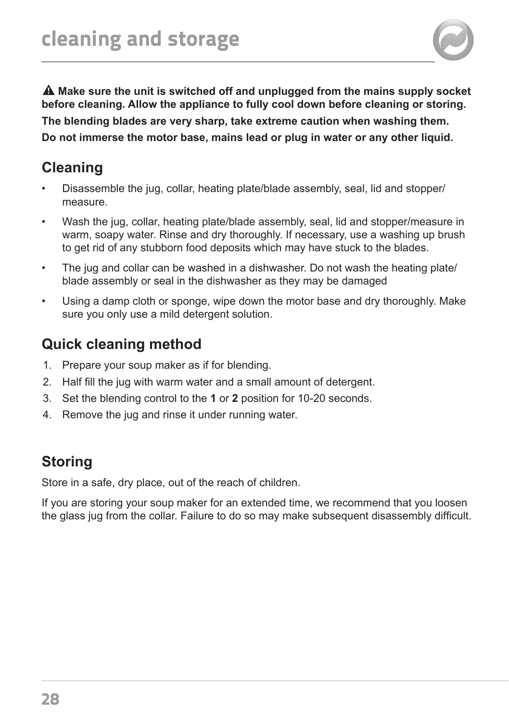

 **Make sure the unit is switched off and unplugged from the mains supply socket before cleaning. Allow the appliance to fully cool down before cleaning or storing. The blending blades are very sharp, take extreme caution when washing them. Do not immerse the motor base, mains lead or plug in water or any other liquid.**

# **Cleaning**

- Disassemble the jug, collar, heating plate/blade assembly, seal, lid and stopper/ measure.
- Wash the jug, collar, heating plate/blade assembly, seal, lid and stopper/measure in warm, soapy water. Rinse and dry thoroughly. If necessary, use a washing up brush to get rid of any stubborn food deposits which may have stuck to the blades.
- The jug and collar can be washed in a dishwasher. Do not wash the heating plate/ blade assembly or seal in the dishwasher as they may be damaged
- Using a damp cloth or sponge, wipe down the motor base and dry thoroughly. Make sure you only use a mild detergent solution.

# **Quick cleaning method**

- 1. Prepare your soup maker as if for blending.
- 2. Half fill the jug with warm water and a small amount of detergent.
- 3. Set the blending control to the **1** or **2** position for 10-20 seconds.
- 4. Remove the jug and rinse it under running water.

# **Storing**

Store in a safe, dry place, out of the reach of children.

If you are storing your soup maker for an extended time, we recommend that you loosen the glass jug from the collar. Failure to do so may make subsequent disassembly difficult.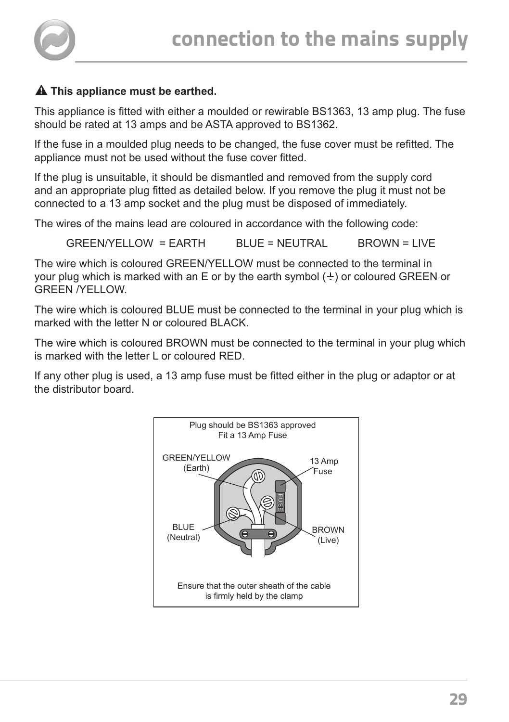

## **A** This appliance must be earthed.

This appliance is fitted with either a moulded or rewirable BS1363, 13 amp plug. The fuse should be rated at 13 amps and be ASTA approved to BS1362.

If the fuse in a moulded plug needs to be changed, the fuse cover must be refitted. The appliance must not be used without the fuse cover fitted.

If the plug is unsuitable, it should be dismantled and removed from the supply cord and an appropriate plug fitted as detailed below. If you remove the plug it must not be connected to a 13 amp socket and the plug must be disposed of immediately.

The wires of the mains lead are coloured in accordance with the following code:

 $GRFEN/YFI I OW = FARTH$  BLUE = NEUTRAL BROWN = LIVE

The wire which is coloured GREEN/YELLOW must be connected to the terminal in your plug which is marked with an E or by the earth symbol  $(\frac{1}{2})$  or coloured GREEN or GREEN /YELLOW.

The wire which is coloured BLUE must be connected to the terminal in your plug which is marked with the letter N or coloured BLACK.

The wire which is coloured BROWN must be connected to the terminal in your plug which is marked with the letter L or coloured RED.

If any other plug is used, a 13 amp fuse must be fitted either in the plug or adaptor or at the distributor board.

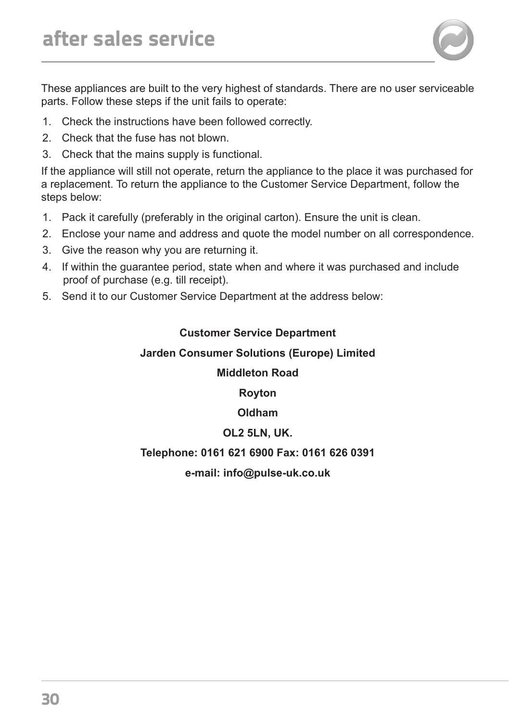These appliances are built to the very highest of standards. There are no user serviceable parts. Follow these steps if the unit fails to operate:

- 1. Check the instructions have been followed correctly.
- 2. Check that the fuse has not blown.
- 3. Check that the mains supply is functional.

If the appliance will still not operate, return the appliance to the place it was purchased for a replacement. To return the appliance to the Customer Service Department, follow the steps below:

- 1. Pack it carefully (preferably in the original carton). Ensure the unit is clean.
- 2. Enclose your name and address and quote the model number on all correspondence.
- 3. Give the reason why you are returning it.
- 4. If within the guarantee period, state when and where it was purchased and include proof of purchase (e.g. till receipt).
- 5. Send it to our Customer Service Department at the address below:

#### **Customer Service Department**

#### **Jarden Consumer Solutions (Europe) Limited**

#### **Middleton Road**

**Royton**

**Oldham**

#### **OL2 5LN, UK.**

#### **Telephone: 0161 621 6900 Fax: 0161 626 0391**

**e-mail: info@pulse-uk.co.uk**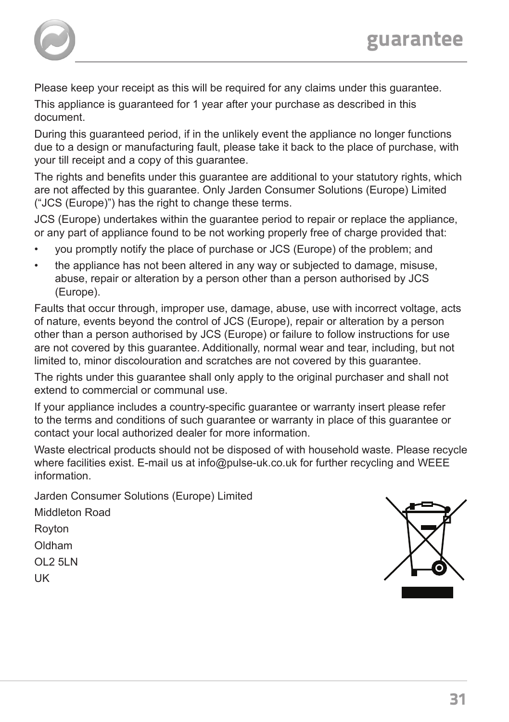

Please keep your receipt as this will be required for any claims under this guarantee.

This appliance is guaranteed for 1 year after your purchase as described in this document.

During this guaranteed period, if in the unlikely event the appliance no longer functions due to a design or manufacturing fault, please take it back to the place of purchase, with your till receipt and a copy of this guarantee.

The rights and benefits under this guarantee are additional to your statutory rights, which are not affected by this guarantee. Only Jarden Consumer Solutions (Europe) Limited ("JCS (Europe)") has the right to change these terms.

JCS (Europe) undertakes within the guarantee period to repair or replace the appliance, or any part of appliance found to be not working properly free of charge provided that:

- you promptly notify the place of purchase or JCS (Europe) of the problem; and
- the appliance has not been altered in any way or subjected to damage, misuse, abuse, repair or alteration by a person other than a person authorised by JCS (Europe).

Faults that occur through, improper use, damage, abuse, use with incorrect voltage, acts of nature, events beyond the control of JCS (Europe), repair or alteration by a person other than a person authorised by JCS (Europe) or failure to follow instructions for use are not covered by this guarantee. Additionally, normal wear and tear, including, but not limited to, minor discolouration and scratches are not covered by this guarantee.

The rights under this guarantee shall only apply to the original purchaser and shall not extend to commercial or communal use.

If your appliance includes a country-specific guarantee or warranty insert please refer to the terms and conditions of such guarantee or warranty in place of this guarantee or contact your local authorized dealer for more information.

Waste electrical products should not be disposed of with household waste. Please recycle where facilities exist. E-mail us at info@pulse-uk.co.uk for further recycling and WEEE information.

Jarden Consumer Solutions (Europe) Limited

Middleton Road Royton Oldham OL2 5LN UK